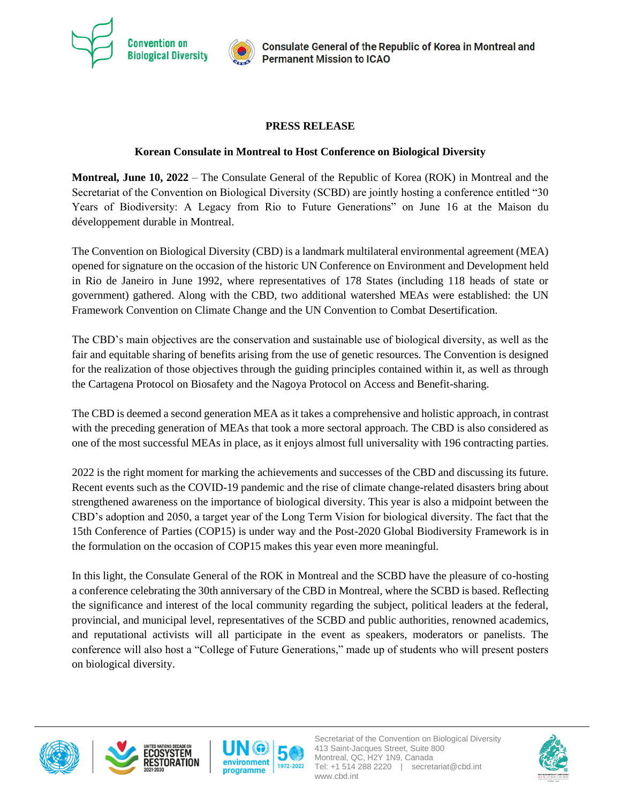

## **PRESS RELEASE**

## **Korean Consulate in Montreal to Host Conference on Biological Diversity**

**Montreal, June 10, 2022** – The Consulate General of the Republic of Korea (ROK) in Montreal and the Secretariat of the Convention on Biological Diversity (SCBD) are jointly hosting a conference entitled "30 Years of Biodiversity: A Legacy from Rio to Future Generations" on June 16 at the Maison du développement durable in Montreal.

The Convention on Biological Diversity (CBD) is a landmark multilateral environmental agreement (MEA) opened for signature on the occasion of the historic UN Conference on Environment and Development held in Rio de Janeiro in June 1992, where representatives of 178 States (including 118 heads of state or government) gathered. Along with the CBD, two additional watershed MEAs were established: the UN Framework Convention on Climate Change and the UN Convention to Combat Desertification.

The CBD's main objectives are the conservation and sustainable use of biological diversity, as well as the fair and equitable sharing of benefits arising from the use of genetic resources. The Convention is designed for the realization of those objectives through the guiding principles contained within it, as well as through the Cartagena Protocol on Biosafety and the Nagoya Protocol on Access and Benefit-sharing.

The CBD is deemed a second generation MEA as it takes a comprehensive and holistic approach, in contrast with the preceding generation of MEAs that took a more sectoral approach. The CBD is also considered as one of the most successful MEAs in place, as it enjoys almost full universality with 196 contracting parties.

2022 is the right moment for marking the achievements and successes of the CBD and discussing its future. Recent events such as the COVID-19 pandemic and the rise of climate change-related disasters bring about strengthened awareness on the importance of biological diversity. This year is also a midpoint between the CBD's adoption and 2050, a target year of the Long Term Vision for biological diversity. The fact that the 15th Conference of Parties (COP15) is under way and the Post-2020 Global Biodiversity Framework is in the formulation on the occasion of COP15 makes this year even more meaningful.

In this light, the Consulate General of the ROK in Montreal and the SCBD have the pleasure of co-hosting a conference celebrating the 30th anniversary of the CBD in Montreal, where the SCBD is based. Reflecting the significance and interest of the local community regarding the subject, political leaders at the federal, provincial, and municipal level, representatives of the SCBD and public authorities, renowned academics, and reputational activists will all participate in the event as speakers, moderators or panelists. The conference will also host a "College of Future Generations," made up of students who will present posters on biological diversity.